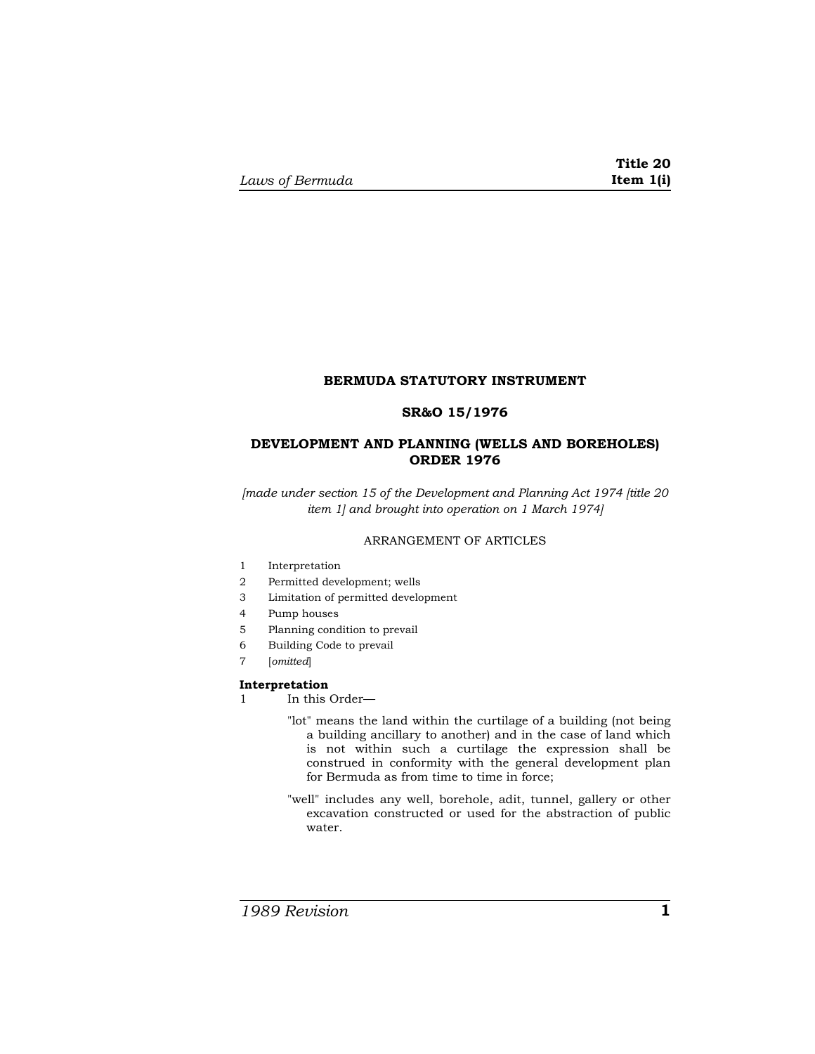# **BERMUDA STATUTORY INSTRUMENT**

# **SR&O 15/1976**

# **DEVELOPMENT AND PLANNING (WELLS AND BOREHOLES) ORDER 1976**

*[made under section 15 of the Development and Planning Act 1974 [title 20 item 1] and brought into operation on 1 March 1974]* 

## ARRANGEMENT OF ARTICLES

- 1 Interpretation
- 2 Permitted development; wells
- 3 Limitation of permitted development
- 4 Pump houses
- 5 Planning condition to prevail
- 6 Building Code to prevail
- 7 [*omitted*]

#### **Interpretation**

1 In this Order—

- "lot" means the land within the curtilage of a building (not being a building ancillary to another) and in the case of land which is not within such a curtilage the expression shall be construed in conformity with the general development plan for Bermuda as from time to time in force;
- "well" includes any well, borehole, adit, tunnel, gallery or other excavation constructed or used for the abstraction of public water.